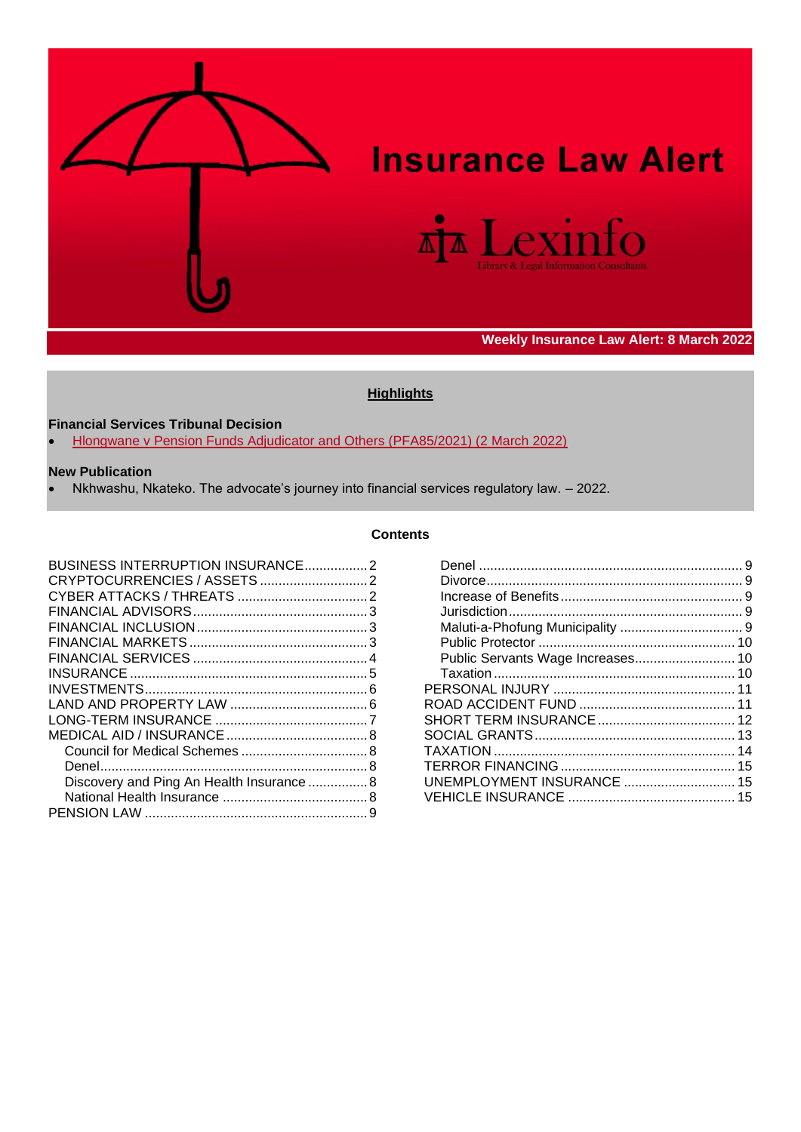

# **Insurance Law Alert**



# **Weekly Insurance Law Alert: 8 March 2022**

### **Highlights**

### **Financial Services Tribunal Decision**

• [Hlongwane v Pension Funds Adjudicator and Others \(PFA85/2021\) \(2 March 2022\)](https://www.fsca.co.za/Enforcement-Matters/Publications%20and%20Documents/Decision%20-%20Erick%20Sibusiso%20Hlongwane%20v%20PFA%20and%20Others.pdf)

#### **New Publication**

• Nkhwashu, Nkateko. The advocate's journey into financial services regulatory law. – 2022.

#### **Contents**

<span id="page-0-0"></span>

| Discovery and Ping An Health Insurance  8 |  |
|-------------------------------------------|--|
|                                           |  |
|                                           |  |

| UNEMPLOYMENT INSURANCE  15 |  |
|----------------------------|--|
|                            |  |
|                            |  |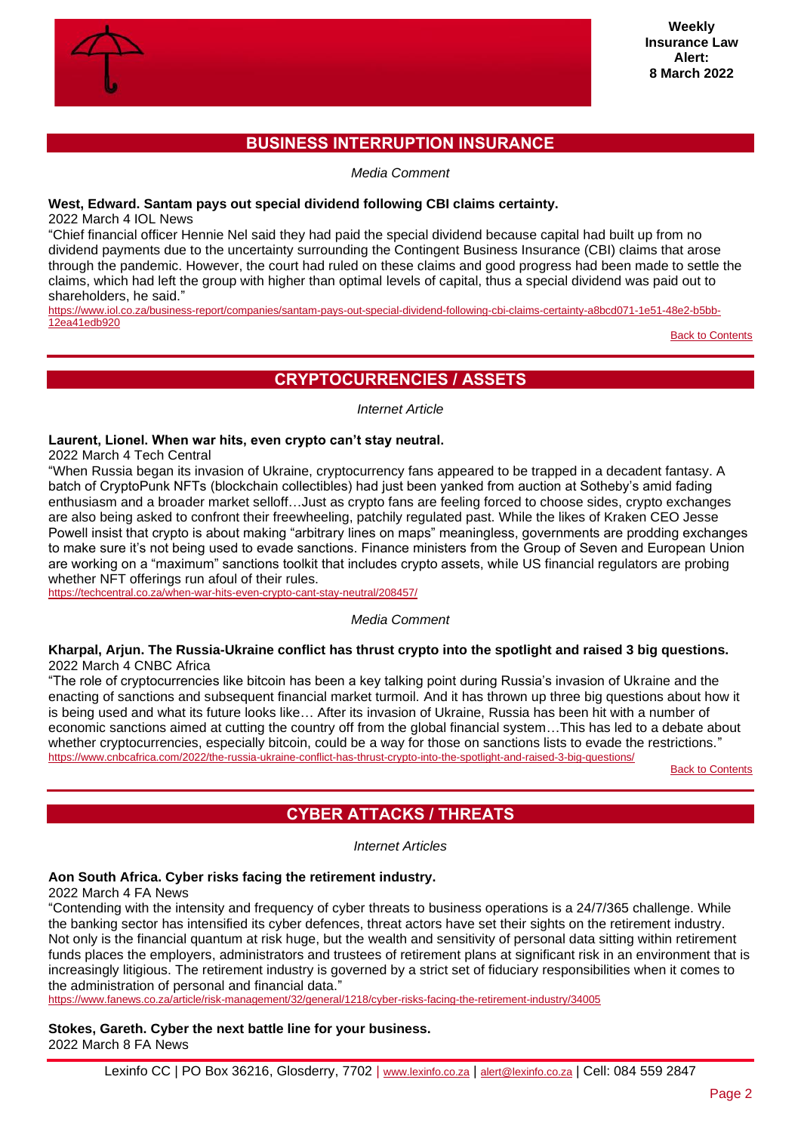

# **BUSINESS INTERRUPTION INSURANCE**

*Media Comment*

#### <span id="page-1-0"></span>**West, Edward. Santam pays out special dividend following CBI claims certainty.**

2022 March 4 IOL News

"Chief financial officer Hennie Nel said they had paid the special dividend because capital had built up from no dividend payments due to the uncertainty surrounding the Contingent Business Insurance (CBI) claims that arose through the pandemic. However, the court had ruled on these claims and good progress had been made to settle the claims, which had left the group with higher than optimal levels of capital, thus a special dividend was paid out to shareholders, he said."

[https://www.iol.co.za/business-report/companies/santam-pays-out-special-dividend-following-cbi-claims-certainty-a8bcd071-1e51-48e2-b5bb-](https://www.iol.co.za/business-report/companies/santam-pays-out-special-dividend-following-cbi-claims-certainty-a8bcd071-1e51-48e2-b5bb-12ea41edb920)[12ea41edb920](https://www.iol.co.za/business-report/companies/santam-pays-out-special-dividend-following-cbi-claims-certainty-a8bcd071-1e51-48e2-b5bb-12ea41edb920)

[Back to Contents](#page-0-0)

# **CRYPTOCURRENCIES / ASSETS**

*Internet Article*

#### <span id="page-1-1"></span>**Laurent, Lionel. When war hits, even crypto can't stay neutral.**

2022 March 4 Tech Central

"When Russia began its invasion of Ukraine, cryptocurrency fans appeared to be trapped in a decadent fantasy. A batch of CryptoPunk NFTs (blockchain collectibles) had just been yanked from auction at Sotheby's amid fading enthusiasm and a broader market selloff…Just as crypto fans are feeling forced to choose sides, crypto exchanges are also being asked to confront their freewheeling, patchily regulated past. While the likes of Kraken CEO Jesse Powell insist that crypto is about making "arbitrary lines on maps" meaningless, governments are prodding exchanges to make sure it's not being used to evade sanctions. Finance ministers from the Group of Seven and European Union are working on a "maximum" sanctions toolkit that includes crypto assets, while US financial regulators are probing whether NFT offerings run afoul of their rules.

<https://techcentral.co.za/when-war-hits-even-crypto-cant-stay-neutral/208457/>

#### *Media Comment*

#### **Kharpal, Arjun. The Russia-Ukraine conflict has thrust crypto into the spotlight and raised 3 big questions.** 2022 March 4 CNBC Africa

"The role of cryptocurrencies like bitcoin has been a key talking point during Russia's invasion of Ukraine and the enacting of sanctions and subsequent financial market turmoil. And it has thrown up three big questions about how it is being used and what its future looks like… After its invasion of Ukraine, Russia has been hit with a number of economic sanctions aimed at cutting the country off from the global financial system…This has led to a debate about whether cryptocurrencies, especially bitcoin, could be a way for those on sanctions lists to evade the restrictions." <https://www.cnbcafrica.com/2022/the-russia-ukraine-conflict-has-thrust-crypto-into-the-spotlight-and-raised-3-big-questions/>

[Back to Contents](#page-0-0)

# **CYBER ATTACKS / THREATS**

*Internet Articles*

# <span id="page-1-2"></span>**Aon South Africa. Cyber risks facing the retirement industry.**

2022 March 4 FA News

"Contending with the intensity and frequency of cyber threats to business operations is a 24/7/365 challenge. While the banking sector has intensified its cyber defences, threat actors have set their sights on the retirement industry. Not only is the financial quantum at risk huge, but the wealth and sensitivity of personal data sitting within retirement funds places the employers, administrators and trustees of retirement plans at significant risk in an environment that is increasingly litigious. The retirement industry is governed by a strict set of fiduciary responsibilities when it comes to the administration of personal and financial data."

<https://www.fanews.co.za/article/risk-management/32/general/1218/cyber-risks-facing-the-retirement-industry/34005>

**Stokes, Gareth. Cyber the next battle line for your business.** 2022 March 8 FA News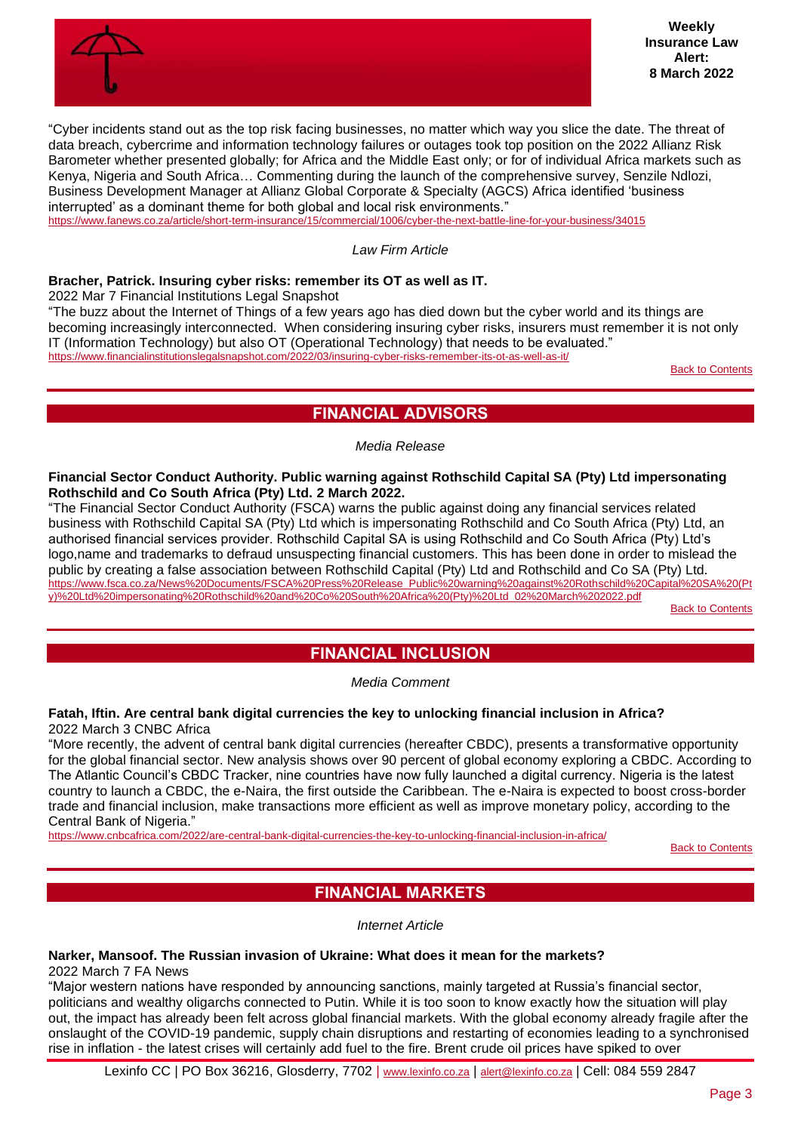

"Cyber incidents stand out as the top risk facing businesses, no matter which way you slice the date. The threat of data breach, cybercrime and information technology failures or outages took top position on the 2022 Allianz Risk Barometer whether presented globally; for Africa and the Middle East only; or for of individual Africa markets such as Kenya, Nigeria and South Africa… Commenting during the launch of the comprehensive survey, Senzile Ndlozi, Business Development Manager at Allianz Global Corporate & Specialty (AGCS) Africa identified 'business interrupted' as a dominant theme for both global and local risk environments." <https://www.fanews.co.za/article/short-term-insurance/15/commercial/1006/cyber-the-next-battle-line-for-your-business/34015>

*Law Firm Article*

#### **Bracher, Patrick. Insuring cyber risks: remember its OT as well as IT.**

2022 Mar 7 Financial Institutions Legal Snapshot

"The buzz about the Internet of Things of a few years ago has died down but the cyber world and its things are becoming increasingly interconnected. When considering insuring cyber risks, insurers must remember it is not only IT (Information Technology) but also OT (Operational Technology) that needs to be evaluated." <https://www.financialinstitutionslegalsnapshot.com/2022/03/insuring-cyber-risks-remember-its-ot-as-well-as-it/>

[Back to Contents](#page-0-0)

# **FINANCIAL ADVISORS**

*Media Release*

#### <span id="page-2-0"></span>**Financial Sector Conduct Authority. Public warning against Rothschild Capital SA (Pty) Ltd impersonating Rothschild and Co South Africa (Pty) Ltd. 2 March 2022.**

"The Financial Sector Conduct Authority (FSCA) warns the public against doing any financial services related business with Rothschild Capital SA (Pty) Ltd which is impersonating Rothschild and Co South Africa (Pty) Ltd, an authorised financial services provider. Rothschild Capital SA is using Rothschild and Co South Africa (Pty) Ltd's logo,name and trademarks to defraud unsuspecting financial customers. This has been done in order to mislead the public by creating a false association between Rothschild Capital (Pty) Ltd and Rothschild and Co SA (Pty) Ltd. [https://www.fsca.co.za/News%20Documents/FSCA%20Press%20Release\\_Public%20warning%20against%20Rothschild%20Capital%20SA%20\(Pt](https://www.fsca.co.za/News%20Documents/FSCA%20Press%20Release_Public%20warning%20against%20Rothschild%20Capital%20SA%20(Pty)%20Ltd%20impersonating%20Rothschild%20and%20Co%20South%20Africa%20(Pty)%20Ltd_02%20March%202022.pdf) [y\)%20Ltd%20impersonating%20Rothschild%20and%20Co%20South%20Africa%20\(Pty\)%20Ltd\\_02%20March%202022.pdf](https://www.fsca.co.za/News%20Documents/FSCA%20Press%20Release_Public%20warning%20against%20Rothschild%20Capital%20SA%20(Pty)%20Ltd%20impersonating%20Rothschild%20and%20Co%20South%20Africa%20(Pty)%20Ltd_02%20March%202022.pdf)

[Back to Contents](#page-0-0)

# **FINANCIAL INCLUSION**

*Media Comment*

#### <span id="page-2-1"></span>**Fatah, Iftin. Are central bank digital currencies the key to unlocking financial inclusion in Africa?** 2022 March 3 CNBC Africa

"More recently, the advent of central bank digital currencies (hereafter CBDC), presents a transformative opportunity for the global financial sector. New analysis shows over 90 percent of global economy exploring a CBDC. According to The Atlantic Council's CBDC Tracker, nine countries have now fully launched a digital currency. Nigeria is the latest country to launch a CBDC, the e-Naira, the first outside the Caribbean. The e-Naira is expected to boost cross-border trade and financial inclusion, make transactions more efficient as well as improve monetary policy, according to the Central Bank of Nigeria."

<span id="page-2-2"></span><https://www.cnbcafrica.com/2022/are-central-bank-digital-currencies-the-key-to-unlocking-financial-inclusion-in-africa/>

[Back to Contents](#page-0-0)

# **FINANCIAL MARKETS**

*Internet Article*

# **Narker, Mansoof. The Russian invasion of Ukraine: What does it mean for the markets?**

2022 March 7 FA News

"Major western nations have responded by announcing sanctions, mainly targeted at Russia's financial sector, politicians and wealthy oligarchs connected to Putin. While it is too soon to know exactly how the situation will play out, the impact has already been felt across global financial markets. With the global economy already fragile after the onslaught of the COVID-19 pandemic, supply chain disruptions and restarting of economies leading to a synchronised rise in inflation - the latest crises will certainly add fuel to the fire. Brent crude oil prices have spiked to over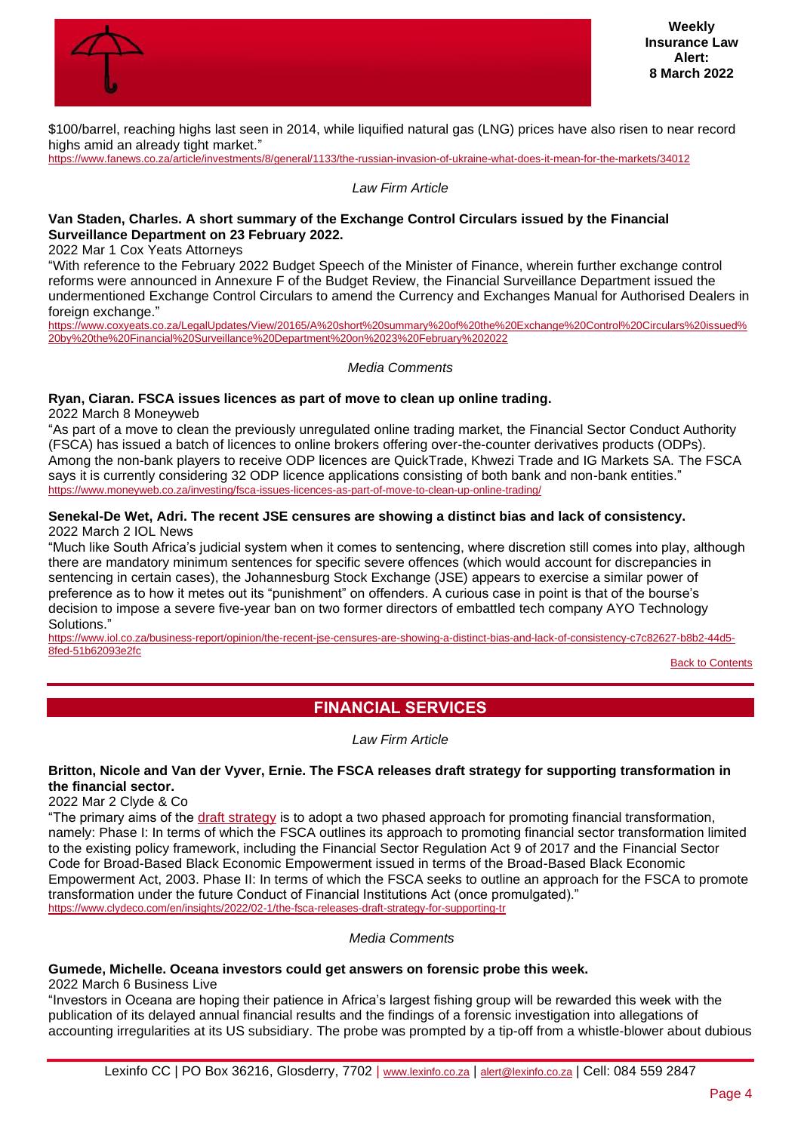

\$100/barrel, reaching highs last seen in 2014, while liquified natural gas (LNG) prices have also risen to near record highs amid an already tight market."

<https://www.fanews.co.za/article/investments/8/general/1133/the-russian-invasion-of-ukraine-what-does-it-mean-for-the-markets/34012>

*Law Firm Article*

#### **Van Staden, Charles. A short summary of the Exchange Control Circulars issued by the Financial Surveillance Department on 23 February 2022.**

2022 Mar 1 Cox Yeats Attorneys

"With reference to the February 2022 Budget Speech of the Minister of Finance, wherein further exchange control reforms were announced in Annexure F of the Budget Review, the Financial Surveillance Department issued the undermentioned Exchange Control Circulars to amend the Currency and Exchanges Manual for Authorised Dealers in foreign exchange."

[https://www.coxyeats.co.za/LegalUpdates/View/20165/A%20short%20summary%20of%20the%20Exchange%20Control%20Circulars%20issued%](https://www.coxyeats.co.za/LegalUpdates/View/20165/A%20short%20summary%20of%20the%20Exchange%20Control%20Circulars%20issued%20by%20the%20Financial%20Surveillance%20Department%20on%2023%20February%202022) [20by%20the%20Financial%20Surveillance%20Department%20on%2023%20February%202022](https://www.coxyeats.co.za/LegalUpdates/View/20165/A%20short%20summary%20of%20the%20Exchange%20Control%20Circulars%20issued%20by%20the%20Financial%20Surveillance%20Department%20on%2023%20February%202022)

*Media Comments*

# **Ryan, Ciaran. FSCA issues licences as part of move to clean up online trading.**

2022 March 8 Moneyweb

"As part of a move to clean the previously unregulated online trading market, the Financial Sector Conduct Authority (FSCA) has issued a batch of licences to online brokers offering over-the-counter derivatives products (ODPs). Among the non-bank players to receive ODP licences are QuickTrade, Khwezi Trade and IG Markets SA. The FSCA says it is currently considering 32 ODP licence applications consisting of both bank and non-bank entities." <https://www.moneyweb.co.za/investing/fsca-issues-licences-as-part-of-move-to-clean-up-online-trading/>

#### **Senekal-De Wet, Adri. The recent JSE censures are showing a distinct bias and lack of consistency.** 2022 March 2 IOL News

"Much like South Africa's judicial system when it comes to sentencing, where discretion still comes into play, although there are mandatory minimum sentences for specific severe offences (which would account for discrepancies in sentencing in certain cases), the Johannesburg Stock Exchange (JSE) appears to exercise a similar power of preference as to how it metes out its "punishment" on offenders. A curious case in point is that of the bourse's decision to impose a severe five-year ban on two former directors of embattled tech company AYO Technology Solutions."

[https://www.iol.co.za/business-report/opinion/the-recent-jse-censures-are-showing-a-distinct-bias-and-lack-of-consistency-c7c82627-b8b2-44d5-](https://www.iol.co.za/business-report/opinion/the-recent-jse-censures-are-showing-a-distinct-bias-and-lack-of-consistency-c7c82627-b8b2-44d5-8fed-51b62093e2fc) [8fed-51b62093e2fc](https://www.iol.co.za/business-report/opinion/the-recent-jse-censures-are-showing-a-distinct-bias-and-lack-of-consistency-c7c82627-b8b2-44d5-8fed-51b62093e2fc)

[Back to Contents](#page-0-0)

# **FINANCIAL SERVICES**

*Law Firm Article*

# <span id="page-3-0"></span>**Britton, Nicole and Van der Vyver, Ernie. The FSCA releases draft strategy for supporting transformation in the financial sector.**

2022 Mar 2 Clyde & Co

"The primary aims of the [draft strategy](https://www.fsca.co.za/Regulatory%20Frameworks/Documents%20for%20Consultation/Draft%20for%20public%20comment%20-%20FSCA%20Strategy%20for%20Supporting%20Financial%20Sector%20Transformation.pdf) is to adopt a two phased approach for promoting financial transformation, namely: Phase I: In terms of which the FSCA outlines its approach to promoting financial sector transformation limited to the existing policy framework, including the Financial Sector Regulation Act 9 of 2017 and the Financial Sector Code for Broad-Based Black Economic Empowerment issued in terms of the Broad-Based Black Economic Empowerment Act, 2003. Phase II: In terms of which the FSCA seeks to outline an approach for the FSCA to promote transformation under the future Conduct of Financial Institutions Act (once promulgated)." <https://www.clydeco.com/en/insights/2022/02-1/the-fsca-releases-draft-strategy-for-supporting-tr>

*Media Comments*

# **Gumede, Michelle. Oceana investors could get answers on forensic probe this week.**

2022 March 6 Business Live

"Investors in Oceana are hoping their patience in Africa's largest fishing group will be rewarded this week with the publication of its delayed annual financial results and the findings of a forensic investigation into allegations of accounting irregularities at its US subsidiary. The probe was prompted by a tip-off from a whistle-blower about dubious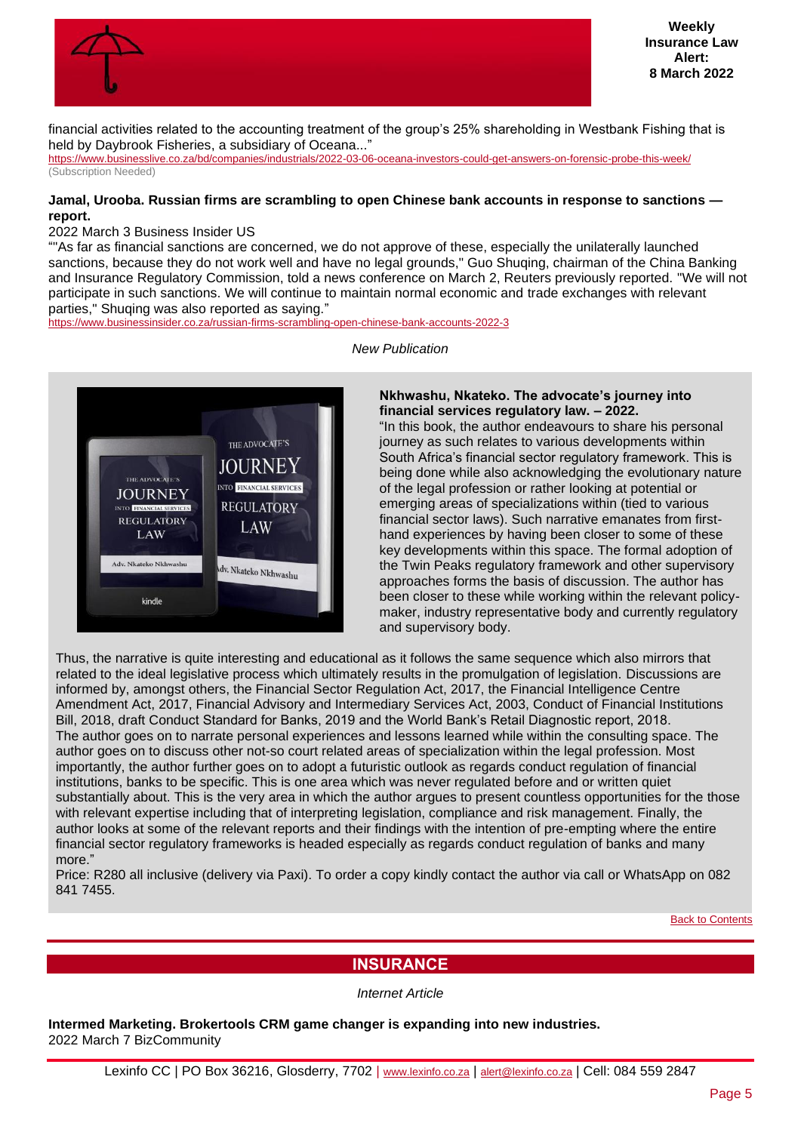

financial activities related to the accounting treatment of the group's 25% shareholding in Westbank Fishing that is held by Daybrook Fisheries, a subsidiary of Oceana..."

<https://www.businesslive.co.za/bd/companies/industrials/2022-03-06-oceana-investors-could-get-answers-on-forensic-probe-this-week/> (Subscription Needed)

#### **Jamal, Urooba. Russian firms are scrambling to open Chinese bank accounts in response to sanctions report.**

#### 2022 March 3 Business Insider US

""As far as financial sanctions are concerned, we do not approve of these, especially the unilaterally launched sanctions, because they do not work well and have no legal grounds," Guo Shuqing, chairman of the China Banking and Insurance Regulatory Commission, told a news conference on March 2, Reuters previously reported. "We will not participate in such sanctions. We will continue to maintain normal economic and trade exchanges with relevant parties," Shuqing was also reported as saying."

<https://www.businessinsider.co.za/russian-firms-scrambling-open-chinese-bank-accounts-2022-3>

*New Publication*



#### **Nkhwashu, Nkateko. The advocate's journey into financial services regulatory law. – 2022.**

"In this book, the author endeavours to share his personal journey as such relates to various developments within South Africa's financial sector regulatory framework. This is being done while also acknowledging the evolutionary nature of the legal profession or rather looking at potential or emerging areas of specializations within (tied to various financial sector laws). Such narrative emanates from firsthand experiences by having been closer to some of these key developments within this space. The formal adoption of the Twin Peaks regulatory framework and other supervisory approaches forms the basis of discussion. The author has been closer to these while working within the relevant policymaker, industry representative body and currently regulatory and supervisory body.

Thus, the narrative is quite interesting and educational as it follows the same sequence which also mirrors that related to the ideal legislative process which ultimately results in the promulgation of legislation. Discussions are informed by, amongst others, the Financial Sector Regulation Act, 2017, the Financial Intelligence Centre Amendment Act, 2017, Financial Advisory and Intermediary Services Act, 2003, Conduct of Financial Institutions Bill, 2018, draft Conduct Standard for Banks, 2019 and the World Bank's Retail Diagnostic report, 2018. The author goes on to narrate personal experiences and lessons learned while within the consulting space. The author goes on to discuss other not-so court related areas of specialization within the legal profession. Most importantly, the author further goes on to adopt a futuristic outlook as regards conduct regulation of financial institutions, banks to be specific. This is one area which was never regulated before and or written quiet substantially about. This is the very area in which the author argues to present countless opportunities for the those with relevant expertise including that of interpreting legislation, compliance and risk management. Finally, the author looks at some of the relevant reports and their findings with the intention of pre-empting where the entire financial sector regulatory frameworks is headed especially as regards conduct regulation of banks and many more."

Price: R280 all inclusive (delivery via Paxi). To order a copy kindly contact the author via call or WhatsApp on 082 841 7455.

**[Back to Contents](#page-0-0)** 

# **INSURANCE**

*Internet Article*

<span id="page-4-0"></span>**Intermed Marketing. Brokertools CRM game changer is expanding into new industries.** 2022 March 7 BizCommunity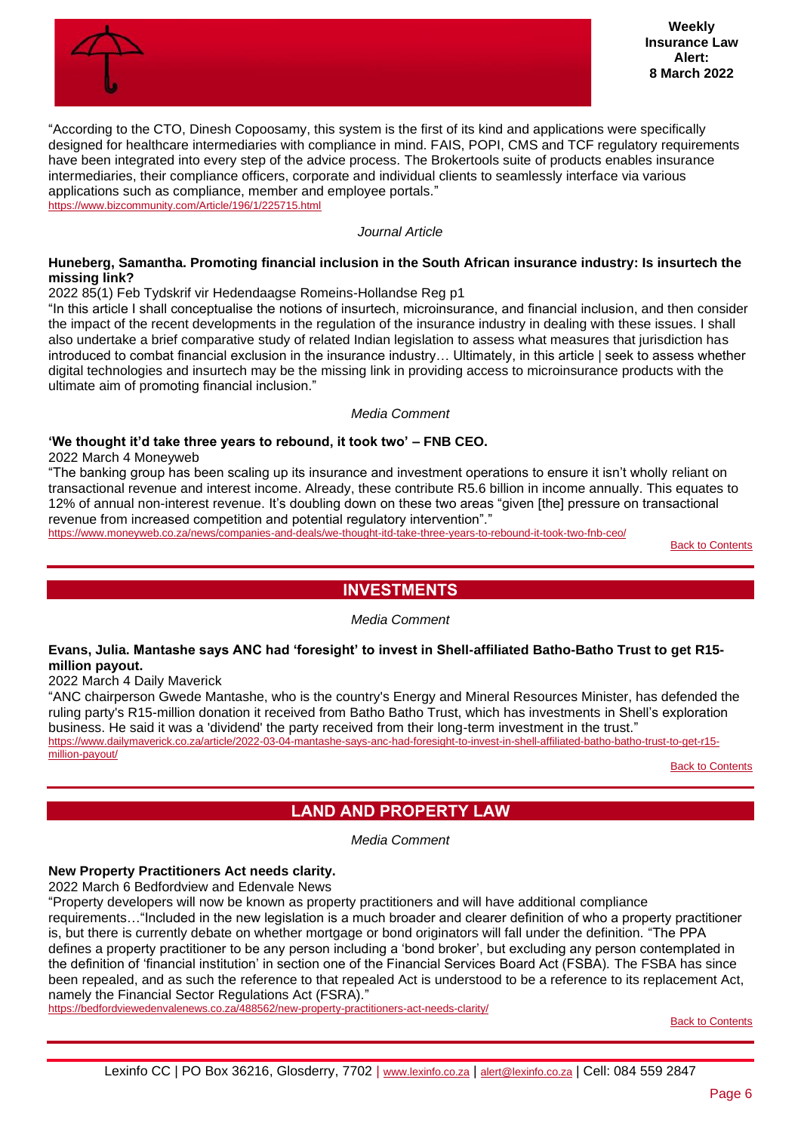

"According to the CTO, Dinesh Copoosamy, this system is the first of its kind and applications were specifically designed for healthcare intermediaries with compliance in mind. FAIS, POPI, CMS and TCF regulatory requirements have been integrated into every step of the advice process. The Brokertools suite of products enables insurance intermediaries, their compliance officers, corporate and individual clients to seamlessly interface via various applications such as compliance, member and employee portals." <https://www.bizcommunity.com/Article/196/1/225715.html>

*Journal Article*

### **Huneberg, Samantha. Promoting financial inclusion in the South African insurance industry: Is insurtech the missing link?**

2022 85(1) Feb Tydskrif vir Hedendaagse Romeins-Hollandse Reg p1

"In this article I shall conceptualise the notions of insurtech, microinsurance, and financial inclusion, and then consider the impact of the recent developments in the regulation of the insurance industry in dealing with these issues. I shall also undertake a brief comparative study of related Indian legislation to assess what measures that jurisdiction has introduced to combat financial exclusion in the insurance industry… Ultimately, in this article | seek to assess whether digital technologies and insurtech may be the missing link in providing access to microinsurance products with the ultimate aim of promoting financial inclusion."

*Media Comment*

#### **'We thought it'd take three years to rebound, it took two' – FNB CEO.**

2022 March 4 Moneyweb

"The banking group has been scaling up its insurance and investment operations to ensure it isn't wholly reliant on transactional revenue and interest income. Already, these contribute R5.6 billion in income annually. This equates to 12% of annual non-interest revenue. It's doubling down on these two areas "given [the] pressure on transactional revenue from increased competition and potential regulatory intervention"."

<span id="page-5-0"></span><https://www.moneyweb.co.za/news/companies-and-deals/we-thought-itd-take-three-years-to-rebound-it-took-two-fnb-ceo/>

**[Back to Contents](#page-0-0)** 

# **INVESTMENTS**

*Media Comment*

#### **Evans, Julia. Mantashe says ANC had 'foresight' to invest in Shell-affiliated Batho-Batho Trust to get R15 million payout.**

2022 March 4 Daily Maverick

"ANC chairperson Gwede Mantashe, who is the country's Energy and Mineral Resources Minister, has defended the ruling party's R15-million donation it received from Batho Batho Trust, which has investments in Shell's exploration business. He said it was a 'dividend' the party received from their long-term investment in the trust." [https://www.dailymaverick.co.za/article/2022-03-04-mantashe-says-anc-had-foresight-to-invest-in-shell-affiliated-batho-batho-trust-to-get-r15](https://www.dailymaverick.co.za/article/2022-03-04-mantashe-says-anc-had-foresight-to-invest-in-shell-affiliated-batho-batho-trust-to-get-r15-million-payout/) [million-payout/](https://www.dailymaverick.co.za/article/2022-03-04-mantashe-says-anc-had-foresight-to-invest-in-shell-affiliated-batho-batho-trust-to-get-r15-million-payout/)

[Back to Contents](#page-0-0)

# **LAND AND PROPERTY LAW**

*Media Comment*

# <span id="page-5-1"></span>**New Property Practitioners Act needs clarity.**

2022 March 6 Bedfordview and Edenvale News

"Property developers will now be known as property practitioners and will have additional compliance requirements…"Included in the new legislation is a much broader and clearer definition of who a property practitioner is, but there is currently debate on whether mortgage or bond originators will fall under the definition. "The PPA defines a property practitioner to be any person including a 'bond broker', but excluding any person contemplated in the definition of 'financial institution' in section one of the Financial Services Board Act (FSBA). The FSBA has since been repealed, and as such the reference to that repealed Act is understood to be a reference to its replacement Act, namely the Financial Sector Regulations Act (FSRA)."

<https://bedfordviewedenvalenews.co.za/488562/new-property-practitioners-act-needs-clarity/>

**[Back to Contents](#page-0-0)**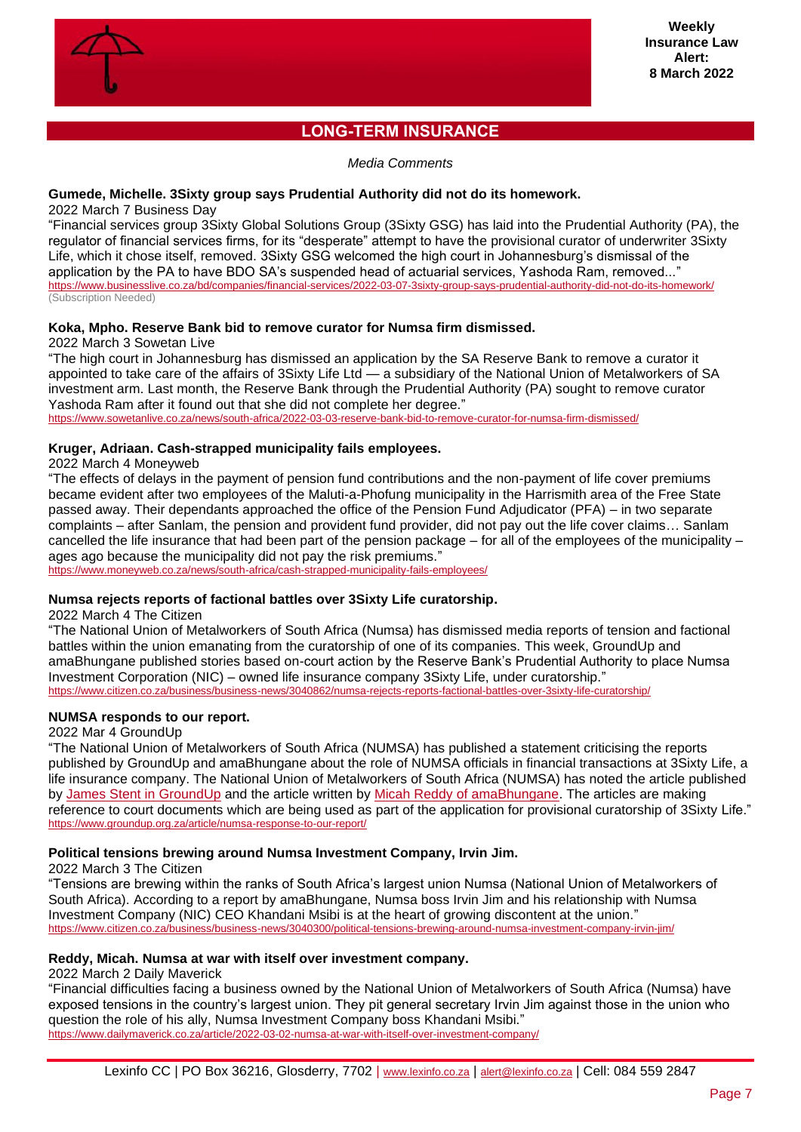

# **LONG-TERM INSURANCE**

*Media Comments*

# <span id="page-6-0"></span>**Gumede, Michelle. 3Sixty group says Prudential Authority did not do its homework.**

2022 March 7 Business Day

"Financial services group 3Sixty Global Solutions Group (3Sixty GSG) has laid into the Prudential Authority (PA), the regulator of financial services firms, for its "desperate" attempt to have the provisional curator of underwriter 3Sixty Life, which it chose itself, removed. 3Sixty GSG welcomed the high court in Johannesburg's dismissal of the application by the PA to have BDO SA's suspended head of actuarial services, Yashoda Ram, removed..." <https://www.businesslive.co.za/bd/companies/financial-services/2022-03-07-3sixty-group-says-prudential-authority-did-not-do-its-homework/> (Subscription Needed)

# **Koka, Mpho. Reserve Bank bid to remove curator for Numsa firm dismissed.**

2022 March 3 Sowetan Live

"The high court in Johannesburg has dismissed an application by the SA Reserve Bank to remove a curator it appointed to take care of the affairs of 3Sixty Life Ltd — a subsidiary of the National Union of Metalworkers of SA investment arm. Last month, the Reserve Bank through the Prudential Authority (PA) sought to remove curator Yashoda Ram after it found out that she did not complete her degree."

<https://www.sowetanlive.co.za/news/south-africa/2022-03-03-reserve-bank-bid-to-remove-curator-for-numsa-firm-dismissed/>

# **Kruger, Adriaan. Cash-strapped municipality fails employees.**

2022 March 4 Moneyweb

"The effects of delays in the payment of pension fund contributions and the non-payment of life cover premiums became evident after two employees of the Maluti-a-Phofung municipality in the Harrismith area of the Free State passed away. Their dependants approached the office of the Pension Fund Adjudicator (PFA) – in two separate complaints – after Sanlam, the pension and provident fund provider, did not pay out the life cover claims… Sanlam cancelled the life insurance that had been part of the pension package – for all of the employees of the municipality – ages ago because the municipality did not pay the risk premiums."

<https://www.moneyweb.co.za/news/south-africa/cash-strapped-municipality-fails-employees/>

# **Numsa rejects reports of factional battles over 3Sixty Life curatorship.**

2022 March 4 The Citizen

"The National Union of Metalworkers of South Africa (Numsa) has dismissed media reports of tension and factional battles within the union emanating from the curatorship of one of its companies. This week, GroundUp and amaBhungane published stories based on-court action by the Reserve Bank's Prudential Authority to place Numsa Investment Corporation (NIC) – owned life insurance company 3Sixty Life, under curatorship." <https://www.citizen.co.za/business/business-news/3040862/numsa-rejects-reports-factional-battles-over-3sixty-life-curatorship/>

# **NUMSA responds to our report.**

2022 Mar 4 GroundUp

"The National Union of Metalworkers of South Africa (NUMSA) has published a statement criticising the reports published by GroundUp and amaBhungane about the role of NUMSA officials in financial transactions at 3Sixty Life, a life insurance company. The National Union of Metalworkers of South Africa (NUMSA) has noted the article published by [James Stent in GroundUp](https://www.groundup.org.za/article/irvin-jims-r40k-birthday-paid-for-by-embattled-life-insurer/) and the article written by [Micah Reddy of amaBhungane.](https://amabhungane.org/stories/220303-numsa-at-war-with-itself/) The articles are making reference to court documents which are being used as part of the application for provisional curatorship of 3Sixty Life." <https://www.groundup.org.za/article/numsa-response-to-our-report/>

# **Political tensions brewing around Numsa Investment Company, Irvin Jim.**

2022 March 3 The Citizen

"Tensions are brewing within the ranks of South Africa's largest union Numsa (National Union of Metalworkers of South Africa). According to a report by amaBhungane, Numsa boss Irvin Jim and his relationship with Numsa Investment Company (NIC) CEO Khandani Msibi is at the heart of growing discontent at the union." <https://www.citizen.co.za/business/business-news/3040300/political-tensions-brewing-around-numsa-investment-company-irvin-jim/>

#### **Reddy, Micah. Numsa at war with itself over investment company.**

2022 March 2 Daily Maverick

"Financial difficulties facing a business owned by the National Union of Metalworkers of South Africa (Numsa) have exposed tensions in the country's largest union. They pit general secretary Irvin Jim against those in the union who question the role of his ally, Numsa Investment Company boss Khandani Msibi." <https://www.dailymaverick.co.za/article/2022-03-02-numsa-at-war-with-itself-over-investment-company/>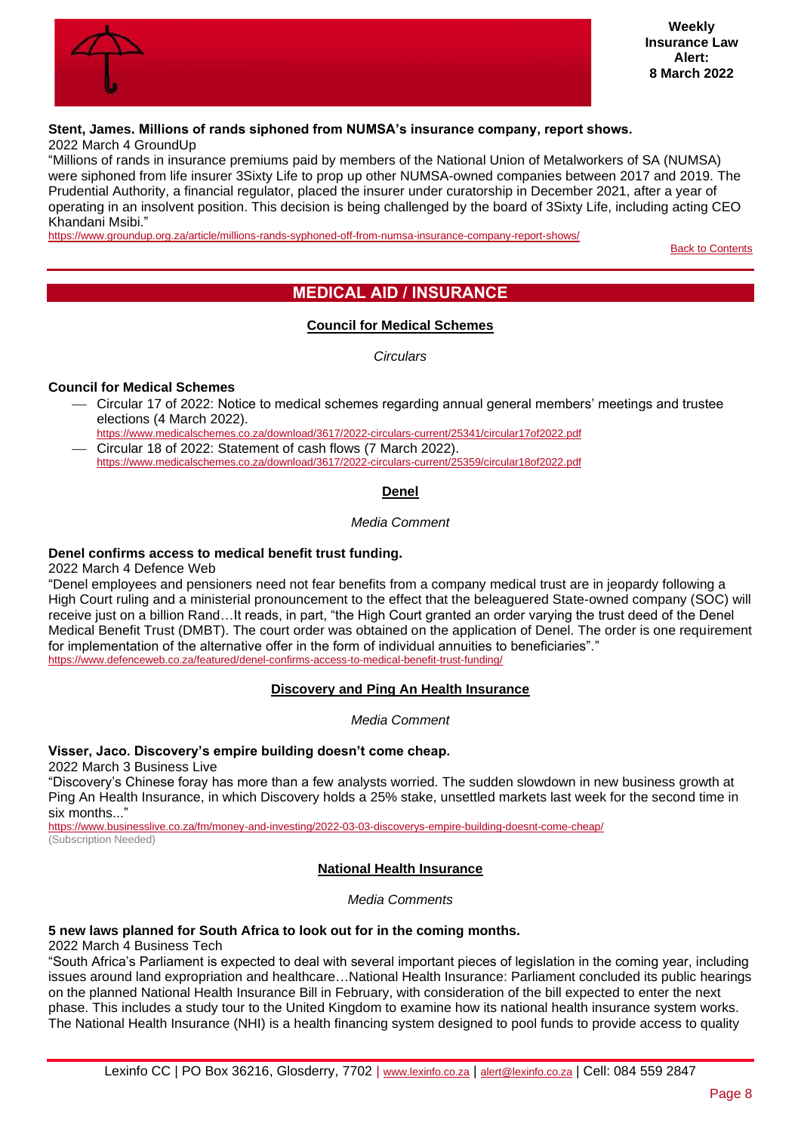

#### **Stent, James. Millions of rands siphoned from NUMSA's insurance company, report shows.** 2022 March 4 GroundUp

"Millions of rands in insurance premiums paid by members of the National Union of Metalworkers of SA (NUMSA) were siphoned from life insurer 3Sixty Life to prop up other NUMSA-owned companies between 2017 and 2019. The Prudential Authority, a financial regulator, placed the insurer under curatorship in December 2021, after a year of operating in an insolvent position. This decision is being challenged by the board of 3Sixty Life, including acting CEO Khandani Msibi."

<span id="page-7-0"></span><https://www.groundup.org.za/article/millions-rands-syphoned-off-from-numsa-insurance-company-report-shows/>

[Back to Contents](#page-0-0)

# **MEDICAL AID / INSURANCE**

# **Council for Medical Schemes**

*Circulars*

# <span id="page-7-1"></span>**Council for Medical Schemes**

- ⎯ Circular 17 of 2022: Notice to medical schemes regarding annual general members' meetings and trustee elections (4 March 2022).
- <https://www.medicalschemes.co.za/download/3617/2022-circulars-current/25341/circular17of2022.pdf> ⎯ Circular 18 of 2022: Statement of cash flows (7 March 2022).
- <span id="page-7-2"></span><https://www.medicalschemes.co.za/download/3617/2022-circulars-current/25359/circular18of2022.pdf>

# **Denel**

#### *Media Comment*

# **Denel confirms access to medical benefit trust funding.**

2022 March 4 Defence Web

"Denel employees and pensioners need not fear benefits from a company medical trust are in jeopardy following a High Court ruling and a ministerial pronouncement to the effect that the beleaguered State-owned company (SOC) will receive just on a billion Rand…It reads, in part, "the High Court granted an order varying the trust deed of the Denel Medical Benefit Trust (DMBT). The court order was obtained on the application of Denel. The order is one requirement for implementation of the alternative offer in the form of individual annuities to beneficiaries"." <https://www.defenceweb.co.za/featured/denel-confirms-access-to-medical-benefit-trust-funding/>

# **Discovery and Ping An Health Insurance**

# *Media Comment*

# <span id="page-7-3"></span>**Visser, Jaco. Discovery's empire building doesn't come cheap.**

2022 March 3 Business Live

"Discovery's Chinese foray has more than a few analysts worried. The sudden slowdown in new business growth at Ping An Health Insurance, in which Discovery holds a 25% stake, unsettled markets last week for the second time in six months..."

<span id="page-7-4"></span><https://www.businesslive.co.za/fm/money-and-investing/2022-03-03-discoverys-empire-building-doesnt-come-cheap/> (Subscription Needed)

#### **National Health Insurance**

*Media Comments*

# **5 new laws planned for South Africa to look out for in the coming months.**

2022 March 4 Business Tech

"South Africa's Parliament is expected to deal with several important pieces of legislation in the coming year, including issues around land expropriation and healthcare…National Health Insurance: Parliament concluded its public hearings on the planned National Health Insurance Bill in February, with consideration of the bill expected to enter the next phase. This includes a study tour to the United Kingdom to examine how its national health insurance system works. The National Health Insurance (NHI) is a health financing system designed to pool funds to provide access to quality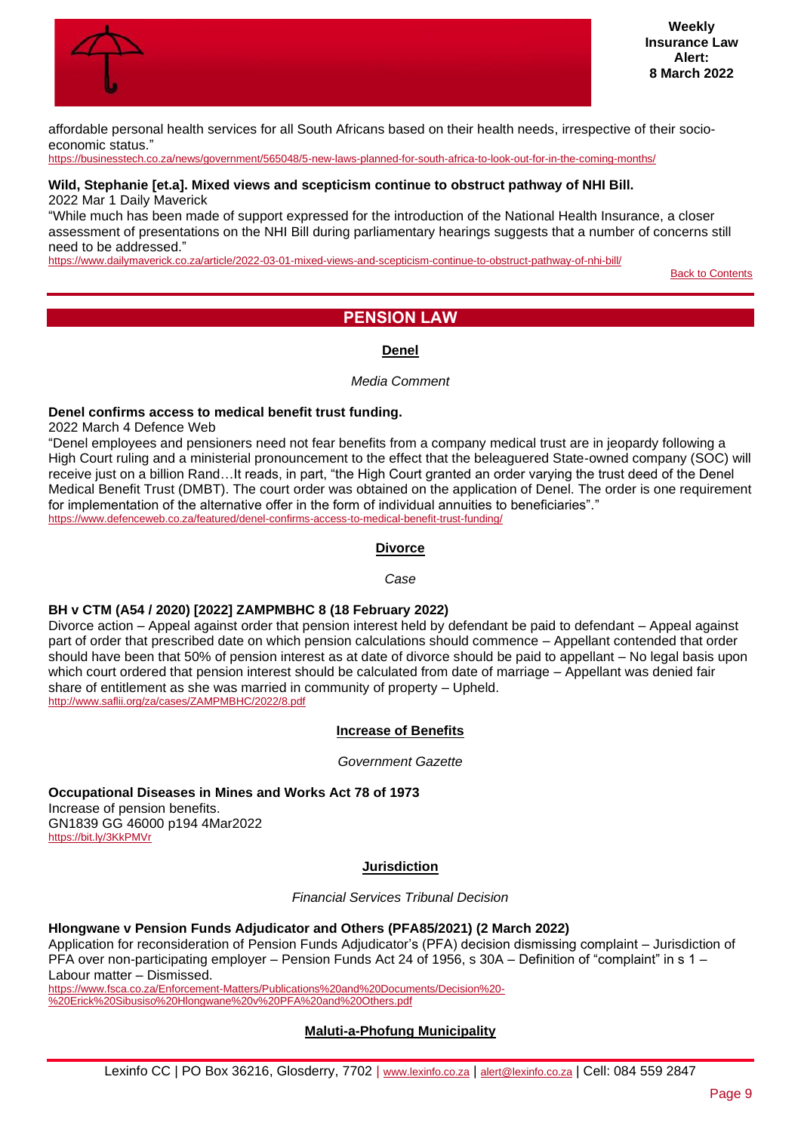

affordable personal health services for all South Africans based on their health needs, irrespective of their socioeconomic status."

<https://businesstech.co.za/news/government/565048/5-new-laws-planned-for-south-africa-to-look-out-for-in-the-coming-months/>

#### **Wild, Stephanie [et.a]. Mixed views and scepticism continue to obstruct pathway of NHI Bill.** 2022 Mar 1 Daily Maverick

"While much has been made of support expressed for the introduction of the National Health Insurance, a closer assessment of presentations on the NHI Bill during parliamentary hearings suggests that a number of concerns still need to be addressed."

<span id="page-8-0"></span><https://www.dailymaverick.co.za/article/2022-03-01-mixed-views-and-scepticism-continue-to-obstruct-pathway-of-nhi-bill/>

**[Back to Contents](#page-0-0)** 

# **PENSION LAW**

# **Denel**

#### *Media Comment*

#### <span id="page-8-1"></span>**Denel confirms access to medical benefit trust funding.**

2022 March 4 Defence Web

"Denel employees and pensioners need not fear benefits from a company medical trust are in jeopardy following a High Court ruling and a ministerial pronouncement to the effect that the beleaguered State-owned company (SOC) will receive just on a billion Rand…It reads, in part, "the High Court granted an order varying the trust deed of the Denel Medical Benefit Trust (DMBT). The court order was obtained on the application of Denel. The order is one requirement for implementation of the alternative offer in the form of individual annuities to beneficiaries"." <https://www.defenceweb.co.za/featured/denel-confirms-access-to-medical-benefit-trust-funding/>

#### **Divorce**

#### *Case*

#### <span id="page-8-2"></span>**BH v CTM (A54 / 2020) [2022] ZAMPMBHC 8 (18 February 2022)**

Divorce action – Appeal against order that pension interest held by defendant be paid to defendant – Appeal against part of order that prescribed date on which pension calculations should commence – Appellant contended that order should have been that 50% of pension interest as at date of divorce should be paid to appellant – No legal basis upon which court ordered that pension interest should be calculated from date of marriage – Appellant was denied fair share of entitlement as she was married in community of property – Upheld. <http://www.saflii.org/za/cases/ZAMPMBHC/2022/8.pdf>

#### **Increase of Benefits**

*Government Gazette*

<span id="page-8-3"></span>**Occupational Diseases in Mines and Works Act 78 of 1973** Increase of pension benefits. GN1839 GG 46000 p194 4Mar2022 <https://bit.ly/3KkPMVr>

#### **Jurisdiction**

*Financial Services Tribunal Decision*

#### <span id="page-8-4"></span>**Hlongwane v Pension Funds Adjudicator and Others (PFA85/2021) (2 March 2022)**

Application for reconsideration of Pension Funds Adjudicator's (PFA) decision dismissing complaint – Jurisdiction of PFA over non-participating employer – Pension Funds Act 24 of 1956, s 30A – Definition of "complaint" in s 1 – Labour matter – Dismissed.

<span id="page-8-5"></span>[https://www.fsca.co.za/Enforcement-Matters/Publications%20and%20Documents/Decision%20-](https://www.fsca.co.za/Enforcement-Matters/Publications%20and%20Documents/Decision%20-%20Erick%20Sibusiso%20Hlongwane%20v%20PFA%20and%20Others.pdf) [%20Erick%20Sibusiso%20Hlongwane%20v%20PFA%20and%20Others.pdf](https://www.fsca.co.za/Enforcement-Matters/Publications%20and%20Documents/Decision%20-%20Erick%20Sibusiso%20Hlongwane%20v%20PFA%20and%20Others.pdf)

#### **Maluti-a-Phofung Municipality**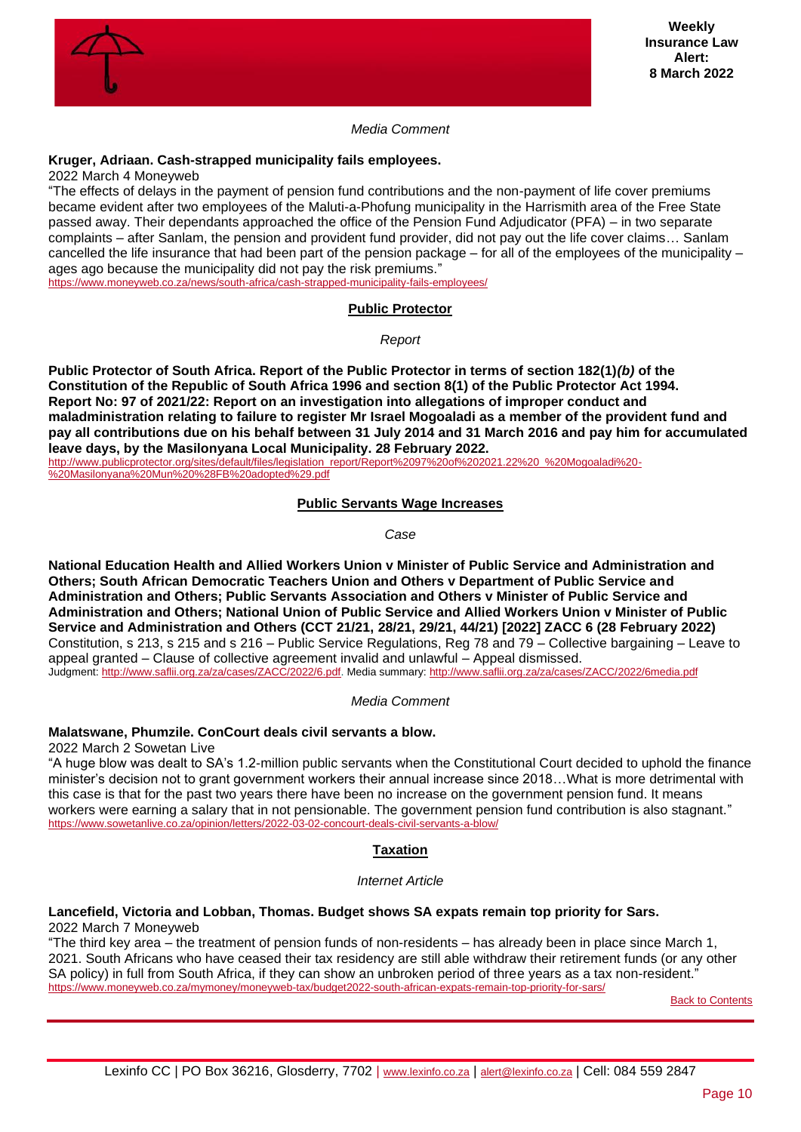

# *Media Comment*

# **Kruger, Adriaan. Cash-strapped municipality fails employees.**

2022 March 4 Moneyweb

"The effects of delays in the payment of pension fund contributions and the non-payment of life cover premiums became evident after two employees of the Maluti-a-Phofung municipality in the Harrismith area of the Free State passed away. Their dependants approached the office of the Pension Fund Adjudicator (PFA) – in two separate complaints – after Sanlam, the pension and provident fund provider, did not pay out the life cover claims… Sanlam cancelled the life insurance that had been part of the pension package – for all of the employees of the municipality – ages ago because the municipality did not pay the risk premiums."

<span id="page-9-0"></span><https://www.moneyweb.co.za/news/south-africa/cash-strapped-municipality-fails-employees/>

#### **Public Protector**

*Report*

**Public Protector of South Africa. Report of the Public Protector in terms of section 182(1)***(b)* **of the Constitution of the Republic of South Africa 1996 and section 8(1) of the Public Protector Act 1994. Report No: 97 of 2021/22: Report on an investigation into allegations of improper conduct and maladministration relating to failure to register Mr Israel Mogoaladi as a member of the provident fund and pay all contributions due on his behalf between 31 July 2014 and 31 March 2016 and pay him for accumulated leave days, by the Masilonyana Local Municipality. 28 February 2022.**

<span id="page-9-1"></span>[http://www.publicprotector.org/sites/default/files/legislation\\_report/Report%2097%20of%202021.22%20\\_%20Mogoaladi%20-](http://www.publicprotector.org/sites/default/files/legislation_report/Report%2097%20of%202021.22%20_%20Mogoaladi%20-%20Masilonyana%20Mun%20%28FB%20adopted%29.pdf) [%20Masilonyana%20Mun%20%28FB%20adopted%29.pdf](http://www.publicprotector.org/sites/default/files/legislation_report/Report%2097%20of%202021.22%20_%20Mogoaladi%20-%20Masilonyana%20Mun%20%28FB%20adopted%29.pdf)

# **Public Servants Wage Increases**

*Case*

**National Education Health and Allied Workers Union v Minister of Public Service and Administration and Others; South African Democratic Teachers Union and Others v Department of Public Service and Administration and Others; Public Servants Association and Others v Minister of Public Service and Administration and Others; National Union of Public Service and Allied Workers Union v Minister of Public Service and Administration and Others (CCT 21/21, 28/21, 29/21, 44/21) [2022] ZACC 6 (28 February 2022)** Constitution, s 213, s 215 and s 216 – Public Service Regulations, Reg 78 and 79 – Collective bargaining – Leave to appeal granted – Clause of collective agreement invalid and unlawful – Appeal dismissed. Judgment: [http://www.saflii.org.za/za/cases/ZACC/2022/6.pdf.](http://www.saflii.org.za/za/cases/ZACC/2022/6.pdf) Media summary[: http://www.saflii.org.za/za/cases/ZACC/2022/6media.pdf](http://www.saflii.org.za/za/cases/ZACC/2022/6media.pdf)

# *Media Comment*

# **Malatswane, Phumzile. ConCourt deals civil servants a blow.**

2022 March 2 Sowetan Live

"A huge blow was dealt to SA's 1.2-million public servants when the Constitutional Court decided to uphold the finance minister's decision not to grant government workers their annual increase since 2018…What is more detrimental with this case is that for the past two years there have been no increase on the government pension fund. It means workers were earning a salary that in not pensionable. The government pension fund contribution is also stagnant." <https://www.sowetanlive.co.za/opinion/letters/2022-03-02-concourt-deals-civil-servants-a-blow/>

#### **Taxation**

*Internet Article*

# <span id="page-9-2"></span>**Lancefield, Victoria and Lobban, Thomas. Budget shows SA expats remain top priority for Sars.**

2022 March 7 Moneyweb

"The third key area – the treatment of pension funds of non-residents – has already been in place since March 1, 2021. South Africans who have ceased their tax residency are still able withdraw their retirement funds (or any other SA policy) in full from South Africa, if they can show an unbroken period of three years as a tax non-resident." <https://www.moneyweb.co.za/mymoney/moneyweb-tax/budget2022-south-african-expats-remain-top-priority-for-sars/>

[Back to Contents](#page-0-0)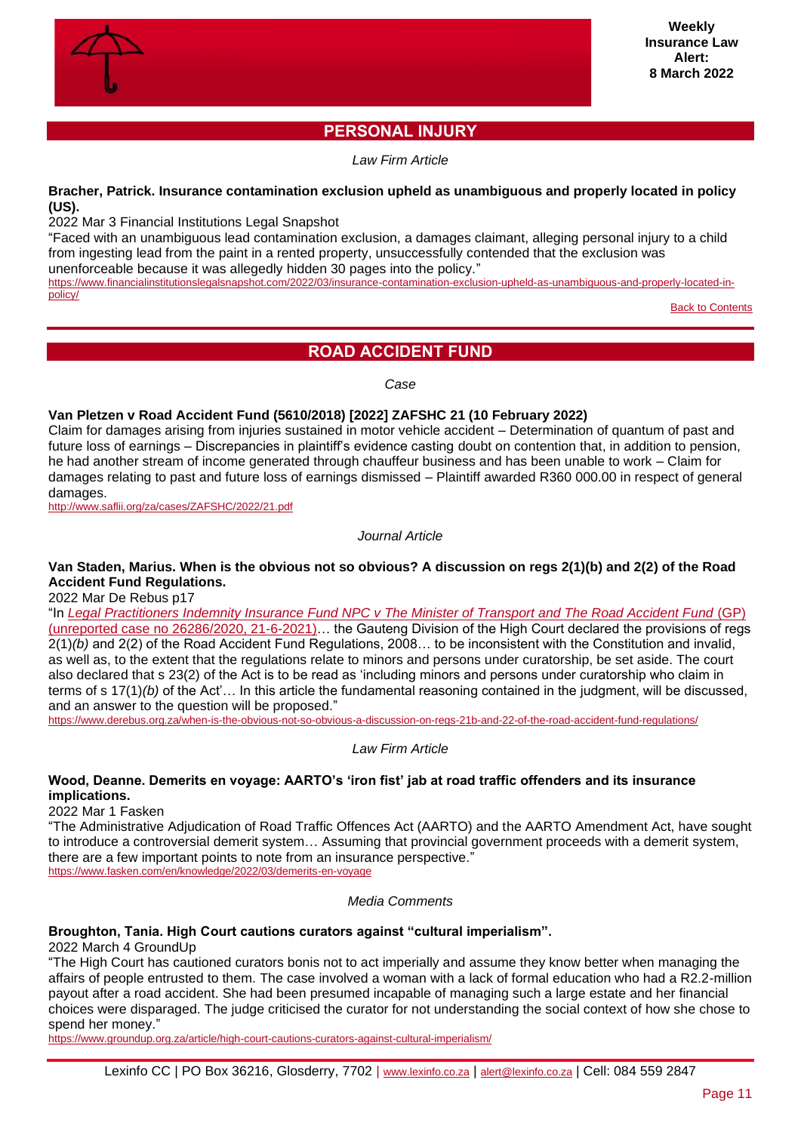

# **PERSONAL INJURY**

*Law Firm Article*

# <span id="page-10-0"></span>**Bracher, Patrick. Insurance contamination exclusion upheld as unambiguous and properly located in policy (US).**

2022 Mar 3 Financial Institutions Legal Snapshot

"Faced with an unambiguous lead contamination exclusion, a damages claimant, alleging personal injury to a child from ingesting lead from the paint in a rented property, unsuccessfully contended that the exclusion was unenforceable because it was allegedly hidden 30 pages into the policy."

[https://www.financialinstitutionslegalsnapshot.com/2022/03/insurance-contamination-exclusion-upheld-as-unambiguous-and-properly-located-in](https://www.financialinstitutionslegalsnapshot.com/2022/03/insurance-contamination-exclusion-upheld-as-unambiguous-and-properly-located-in-policy/)[policy/](https://www.financialinstitutionslegalsnapshot.com/2022/03/insurance-contamination-exclusion-upheld-as-unambiguous-and-properly-located-in-policy/)

**[Back to Contents](#page-0-0)** 

# **ROAD ACCIDENT FUND**

*Case*

# <span id="page-10-1"></span>**Van Pletzen v Road Accident Fund (5610/2018) [2022] ZAFSHC 21 (10 February 2022)**

Claim for damages arising from injuries sustained in motor vehicle accident – Determination of quantum of past and future loss of earnings – Discrepancies in plaintiff's evidence casting doubt on contention that, in addition to pension, he had another stream of income generated through chauffeur business and has been unable to work – Claim for damages relating to past and future loss of earnings dismissed – Plaintiff awarded R360 000.00 in respect of general damages.

<http://www.saflii.org/za/cases/ZAFSHC/2022/21.pdf>

*Journal Article*

# **Van Staden, Marius. When is the obvious not so obvious? A discussion on regs 2(1)(b) and 2(2) of the Road Accident Fund Regulations.**

2022 Mar De Rebus p17

"In *[Legal Practitioners Indemnity Insurance Fund NPC v The Minister of Transport and The Road Accident Fund](https://lpiif.co.za/wp-content/uploads/2021/06/LP-INDEMNITY-INSURANCE-FUND-NPC-V-MINISTER-OF-TRANSPORT-ANOTHER-_-CASE-NO.-26286.2020.pdf)* (GP) [\(unreported case no 26286/2020, 21-6-2021\)…](https://lpiif.co.za/wp-content/uploads/2021/06/LP-INDEMNITY-INSURANCE-FUND-NPC-V-MINISTER-OF-TRANSPORT-ANOTHER-_-CASE-NO.-26286.2020.pdf) the Gauteng Division of the High Court declared the provisions of regs 2(1)*(b)* and 2(2) of the Road Accident Fund Regulations, 2008… to be inconsistent with the Constitution and invalid, as well as, to the extent that the regulations relate to minors and persons under curatorship, be set aside. The court also declared that s 23(2) of the Act is to be read as 'including minors and persons under curatorship who claim in terms of s 17(1)*(b)* of the Act'… In this article the fundamental reasoning contained in the judgment, will be discussed, and an answer to the question will be proposed."

<https://www.derebus.org.za/when-is-the-obvious-not-so-obvious-a-discussion-on-regs-21b-and-22-of-the-road-accident-fund-regulations/>

*Law Firm Article*

#### **Wood, Deanne. Demerits en voyage: AARTO's 'iron fist' jab at road traffic offenders and its insurance implications.**

2022 Mar 1 Fasken

"The Administrative Adjudication of Road Traffic Offences Act (AARTO) and the AARTO Amendment Act, have sought to introduce a controversial demerit system… Assuming that provincial government proceeds with a demerit system, there are a few important points to note from an insurance perspective." <https://www.fasken.com/en/knowledge/2022/03/demerits-en-voyage>

*Media Comments*

# **Broughton, Tania. High Court cautions curators against "cultural imperialism".**

2022 March 4 GroundUp

"The High Court has cautioned curators bonis not to act imperially and assume they know better when managing the affairs of people entrusted to them. The case involved a woman with a lack of formal education who had a R2.2-million payout after a road accident. She had been presumed incapable of managing such a large estate and her financial choices were disparaged. The judge criticised the curator for not understanding the social context of how she chose to spend her money."

<https://www.groundup.org.za/article/high-court-cautions-curators-against-cultural-imperialism/>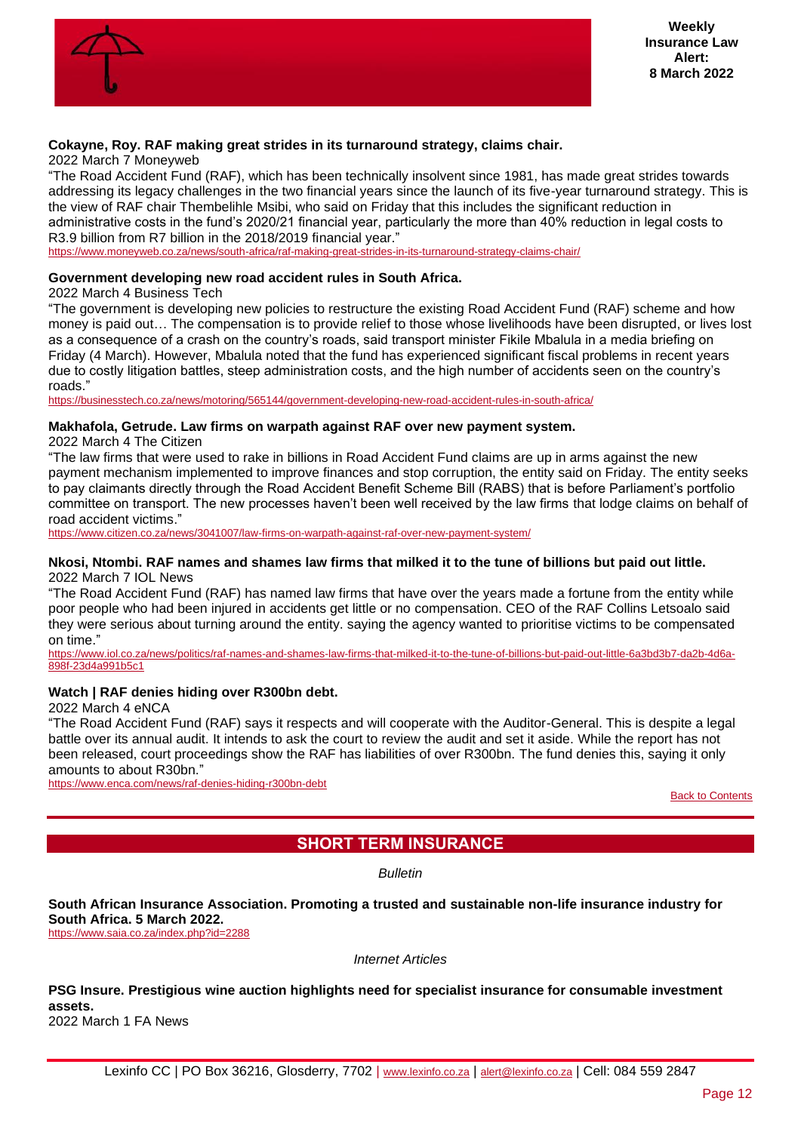

# **Cokayne, Roy. RAF making great strides in its turnaround strategy, claims chair.**

#### 2022 March 7 Moneyweb

"The Road Accident Fund (RAF), which has been technically insolvent since 1981, has made great strides towards addressing its legacy challenges in the two financial years since the launch of its five-year turnaround strategy. This is the view of RAF chair Thembelihle Msibi, who said on Friday that this includes the significant reduction in administrative costs in the fund's 2020/21 financial year, particularly the more than 40% reduction in legal costs to R3.9 billion from R7 billion in the 2018/2019 financial year."

<https://www.moneyweb.co.za/news/south-africa/raf-making-great-strides-in-its-turnaround-strategy-claims-chair/>

#### **Government developing new road accident rules in South Africa.**

2022 March 4 Business Tech

"The government is developing new policies to restructure the existing Road Accident Fund (RAF) scheme and how money is paid out… The compensation is to provide relief to those whose livelihoods have been disrupted, or lives lost as a consequence of a crash on the country's roads, said transport minister Fikile Mbalula in a media briefing on Friday (4 March). However, Mbalula noted that the fund has experienced significant fiscal problems in recent years due to costly litigation battles, steep administration costs, and the high number of accidents seen on the country's roads."

<https://businesstech.co.za/news/motoring/565144/government-developing-new-road-accident-rules-in-south-africa/>

#### **Makhafola, Getrude. Law firms on warpath against RAF over new payment system.**

2022 March 4 The Citizen

"The law firms that were used to rake in billions in Road Accident Fund claims are up in arms against the new payment mechanism implemented to improve finances and stop corruption, the entity said on Friday. The entity seeks to pay claimants directly through the Road Accident Benefit Scheme Bill (RABS) that is before Parliament's portfolio committee on transport. The new processes haven't been well received by the law firms that lodge claims on behalf of road accident victims."

<https://www.citizen.co.za/news/3041007/law-firms-on-warpath-against-raf-over-new-payment-system/>

#### **Nkosi, Ntombi. RAF names and shames law firms that milked it to the tune of billions but paid out little.** 2022 March 7 IOL News

"The Road Accident Fund (RAF) has named law firms that have over the years made a fortune from the entity while poor people who had been injured in accidents get little or no compensation. CEO of the RAF Collins Letsoalo said they were serious about turning around the entity. saying the agency wanted to prioritise victims to be compensated on time."

[https://www.iol.co.za/news/politics/raf-names-and-shames-law-firms-that-milked-it-to-the-tune-of-billions-but-paid-out-little-6a3bd3b7-da2b-4d6a-](https://www.iol.co.za/news/politics/raf-names-and-shames-law-firms-that-milked-it-to-the-tune-of-billions-but-paid-out-little-6a3bd3b7-da2b-4d6a-898f-23d4a991b5c1)[898f-23d4a991b5c1](https://www.iol.co.za/news/politics/raf-names-and-shames-law-firms-that-milked-it-to-the-tune-of-billions-but-paid-out-little-6a3bd3b7-da2b-4d6a-898f-23d4a991b5c1)

# **Watch | RAF denies hiding over R300bn debt.**

2022 March 4 eNCA

"The Road Accident Fund (RAF) says it respects and will cooperate with the Auditor-General. This is despite a legal battle over its annual audit. It intends to ask the court to review the audit and set it aside. While the report has not been released, court proceedings show the RAF has liabilities of over R300bn. The fund denies this, saying it only amounts to about R30bn."

<span id="page-11-0"></span><https://www.enca.com/news/raf-denies-hiding-r300bn-debt>

[Back to Contents](#page-0-0)

# **SHORT TERM INSURANCE**

*Bulletin*

**South African Insurance Association. Promoting a trusted and sustainable non-life insurance industry for South Africa. 5 March 2022.**

<https://www.saia.co.za/index.php?id=2288>

*Internet Articles*

**PSG Insure. Prestigious wine auction highlights need for specialist insurance for consumable investment assets.** 2022 March 1 FA News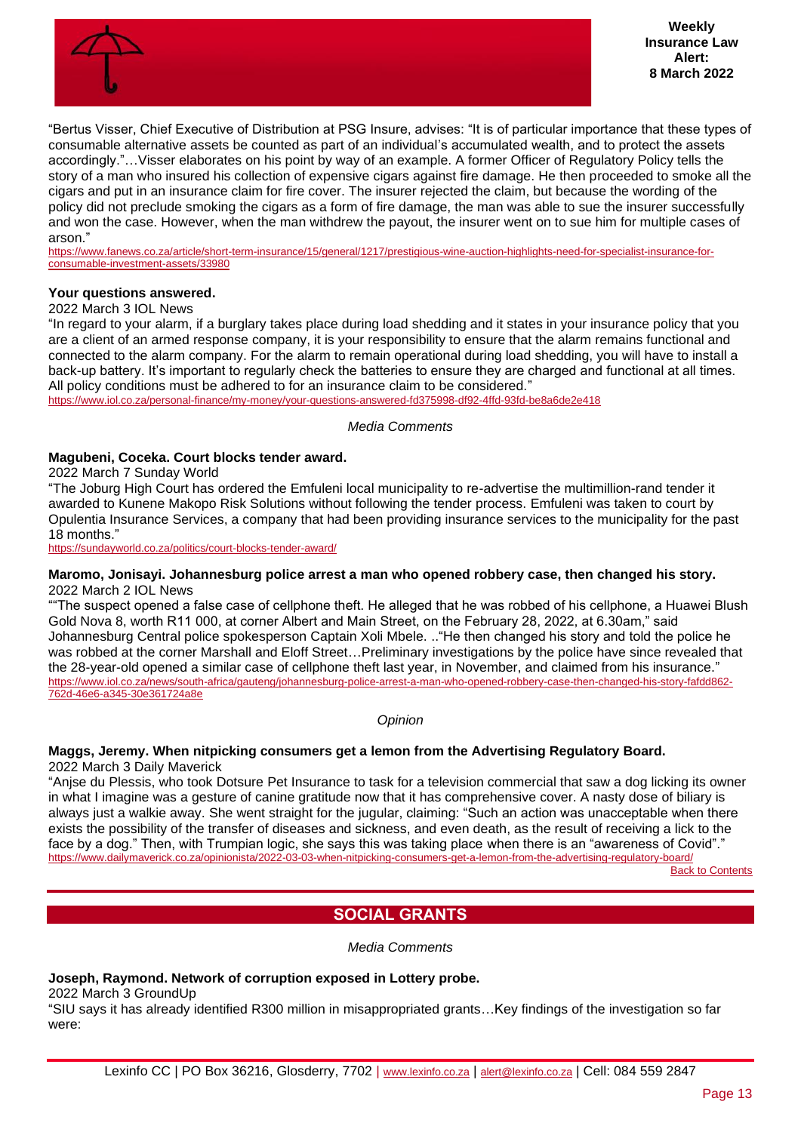

"Bertus Visser, Chief Executive of Distribution at PSG Insure, advises: "It is of particular importance that these types of consumable alternative assets be counted as part of an individual's accumulated wealth, and to protect the assets accordingly."…Visser elaborates on his point by way of an example. A former Officer of Regulatory Policy tells the story of a man who insured his collection of expensive cigars against fire damage. He then proceeded to smoke all the cigars and put in an insurance claim for fire cover. The insurer rejected the claim, but because the wording of the policy did not preclude smoking the cigars as a form of fire damage, the man was able to sue the insurer successfully and won the case. However, when the man withdrew the payout, the insurer went on to sue him for multiple cases of arson."

[https://www.fanews.co.za/article/short-term-insurance/15/general/1217/prestigious-wine-auction-highlights-need-for-specialist-insurance-for](https://www.fanews.co.za/article/short-term-insurance/15/general/1217/prestigious-wine-auction-highlights-need-for-specialist-insurance-for-consumable-investment-assets/33980)[consumable-investment-assets/33980](https://www.fanews.co.za/article/short-term-insurance/15/general/1217/prestigious-wine-auction-highlights-need-for-specialist-insurance-for-consumable-investment-assets/33980)

#### **Your questions answered.**

2022 March 3 IOL News

"In regard to your alarm, if a burglary takes place during load shedding and it states in your insurance policy that you are a client of an armed response company, it is your responsibility to ensure that the alarm remains functional and connected to the alarm company. For the alarm to remain operational during load shedding, you will have to install a back-up battery. It's important to regularly check the batteries to ensure they are charged and functional at all times. All policy conditions must be adhered to for an insurance claim to be considered."

<https://www.iol.co.za/personal-finance/my-money/your-questions-answered-fd375998-df92-4ffd-93fd-be8a6de2e418>

#### *Media Comments*

### **Magubeni, Coceka. Court blocks tender award.**

2022 March 7 Sunday World

"The Joburg High Court has ordered the Emfuleni local municipality to re-advertise the multimillion-rand tender it awarded to Kunene Makopo Risk Solutions without following the tender process. Emfuleni was taken to court by Opulentia Insurance Services, a company that had been providing insurance services to the municipality for the past 18 months."

<https://sundayworld.co.za/politics/court-blocks-tender-award/>

#### **Maromo, Jonisayi. Johannesburg police arrest a man who opened robbery case, then changed his story.** 2022 March 2 IOL News

""The suspect opened a false case of cellphone theft. He alleged that he was robbed of his cellphone, a Huawei Blush Gold Nova 8, worth R11 000, at corner Albert and Main Street, on the February 28, 2022, at 6.30am," said Johannesburg Central police spokesperson Captain Xoli Mbele. .."He then changed his story and told the police he was robbed at the corner Marshall and Eloff Street…Preliminary investigations by the police have since revealed that the 28-year-old opened a similar case of cellphone theft last year, in November, and claimed from his insurance." [https://www.iol.co.za/news/south-africa/gauteng/johannesburg-police-arrest-a-man-who-opened-robbery-case-then-changed-his-story-fafdd862-](https://www.iol.co.za/news/south-africa/gauteng/johannesburg-police-arrest-a-man-who-opened-robbery-case-then-changed-his-story-fafdd862-762d-46e6-a345-30e361724a8e) [762d-46e6-a345-30e361724a8e](https://www.iol.co.za/news/south-africa/gauteng/johannesburg-police-arrest-a-man-who-opened-robbery-case-then-changed-his-story-fafdd862-762d-46e6-a345-30e361724a8e)

*Opinion*

#### **Maggs, Jeremy. When nitpicking consumers get a lemon from the Advertising Regulatory Board.** 2022 March 3 Daily Maverick

"Anjse du Plessis, who took Dotsure Pet Insurance to task for a television commercial that saw a dog licking its owner in what I imagine was a gesture of canine gratitude now that it has comprehensive cover. A nasty dose of biliary is always just a walkie away. She went straight for the jugular, claiming: "Such an action was unacceptable when there exists the possibility of the transfer of diseases and sickness, and even death, as the result of receiving a lick to the face by a dog." Then, with Trumpian logic, she says this was taking place when there is an "awareness of Covid"." <https://www.dailymaverick.co.za/opinionista/2022-03-03-when-nitpicking-consumers-get-a-lemon-from-the-advertising-regulatory-board/>

**[Back to Contents](#page-0-0)** 

# **SOCIAL GRANTS**

*Media Comments*

# <span id="page-12-0"></span>**Joseph, Raymond. Network of corruption exposed in Lottery probe.**

2022 March 3 GroundUp

"SIU says it has already identified R300 million in misappropriated grants…Key findings of the investigation so far were: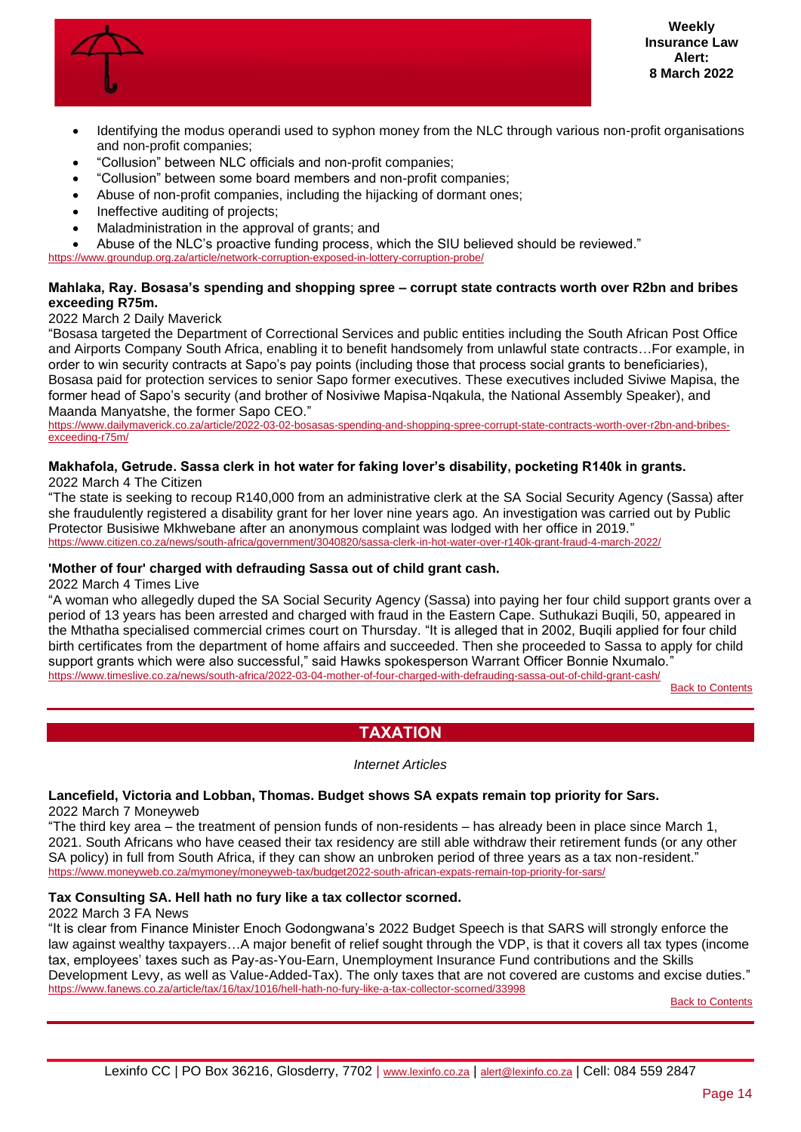

- Identifying the modus operandi used to syphon money from the NLC through various non-profit organisations and non-profit companies;
- "Collusion" between NLC officials and non-profit companies;
- "Collusion" between some board members and non-profit companies;
- Abuse of non-profit companies, including the hijacking of dormant ones;
- Ineffective auditing of projects:
- Maladministration in the approval of grants; and
- Abuse of the NLC's proactive funding process, which the SIU believed should be reviewed."

<https://www.groundup.org.za/article/network-corruption-exposed-in-lottery-corruption-probe/>

#### **Mahlaka, Ray. Bosasa's spending and shopping spree – corrupt state contracts worth over R2bn and bribes exceeding R75m.**

# 2022 March 2 Daily Maverick

"Bosasa targeted the Department of Correctional Services and public entities including the South African Post Office and Airports Company South Africa, enabling it to benefit handsomely from unlawful state contracts…For example, in order to win security contracts at Sapo's pay points (including those that process social grants to beneficiaries), Bosasa paid for protection services to senior Sapo former executives. These executives included Siviwe Mapisa, the former head of Sapo's security (and brother of Nosiviwe Mapisa-Nqakula, the National Assembly Speaker), and Maanda Manyatshe, the former Sapo CEO."

[https://www.dailymaverick.co.za/article/2022-03-02-bosasas-spending-and-shopping-spree-corrupt-state-contracts-worth-over-r2bn-and-bribes](https://www.dailymaverick.co.za/article/2022-03-02-bosasas-spending-and-shopping-spree-corrupt-state-contracts-worth-over-r2bn-and-bribes-exceeding-r75m/)[exceeding-r75m/](https://www.dailymaverick.co.za/article/2022-03-02-bosasas-spending-and-shopping-spree-corrupt-state-contracts-worth-over-r2bn-and-bribes-exceeding-r75m/)

# **Makhafola, Getrude. Sassa clerk in hot water for faking lover's disability, pocketing R140k in grants.**

2022 March 4 The Citizen

"The state is seeking to recoup R140,000 from an administrative clerk at the SA Social Security Agency (Sassa) after she fraudulently registered a disability grant for her lover nine years ago. An investigation was carried out by Public Protector Busisiwe Mkhwebane after an anonymous complaint was lodged with her office in 2019." <https://www.citizen.co.za/news/south-africa/government/3040820/sassa-clerk-in-hot-water-over-r140k-grant-fraud-4-march-2022/>

#### **'Mother of four' charged with defrauding Sassa out of child grant cash.**

2022 March 4 Times Live

"A woman who allegedly duped the SA Social Security Agency (Sassa) into paying her four child support grants over a period of 13 years has been arrested and charged with fraud in the Eastern Cape. Suthukazi Buqili, 50, appeared in the Mthatha specialised commercial crimes court on Thursday. "It is alleged that in 2002, Buqili applied for four child birth certificates from the department of home affairs and succeeded. Then she proceeded to Sassa to apply for child support grants which were also successful," said Hawks spokesperson Warrant Officer Bonnie Nxumalo." <https://www.timeslive.co.za/news/south-africa/2022-03-04-mother-of-four-charged-with-defrauding-sassa-out-of-child-grant-cash/>

[Back to Contents](#page-0-0)

# **TAXATION**

#### *Internet Articles*

# <span id="page-13-0"></span>**Lancefield, Victoria and Lobban, Thomas. Budget shows SA expats remain top priority for Sars.**

2022 March 7 Moneyweb

"The third key area – the treatment of pension funds of non-residents – has already been in place since March 1, 2021. South Africans who have ceased their tax residency are still able withdraw their retirement funds (or any other SA policy) in full from South Africa, if they can show an unbroken period of three years as a tax non-resident." <https://www.moneyweb.co.za/mymoney/moneyweb-tax/budget2022-south-african-expats-remain-top-priority-for-sars/>

# **Tax Consulting SA. Hell hath no fury like a tax collector scorned.**

#### 2022 March 3 FA News

"It is clear from Finance Minister Enoch Godongwana's 2022 Budget Speech is that SARS will strongly enforce the law against wealthy taxpayers…A major benefit of relief sought through the VDP, is that it covers all tax types (income tax, employees' taxes such as Pay-as-You-Earn, Unemployment Insurance Fund contributions and the Skills Development Levy, as well as Value-Added-Tax). The only taxes that are not covered are customs and excise duties." <https://www.fanews.co.za/article/tax/16/tax/1016/hell-hath-no-fury-like-a-tax-collector-scorned/33998>

[Back to Contents](#page-0-0)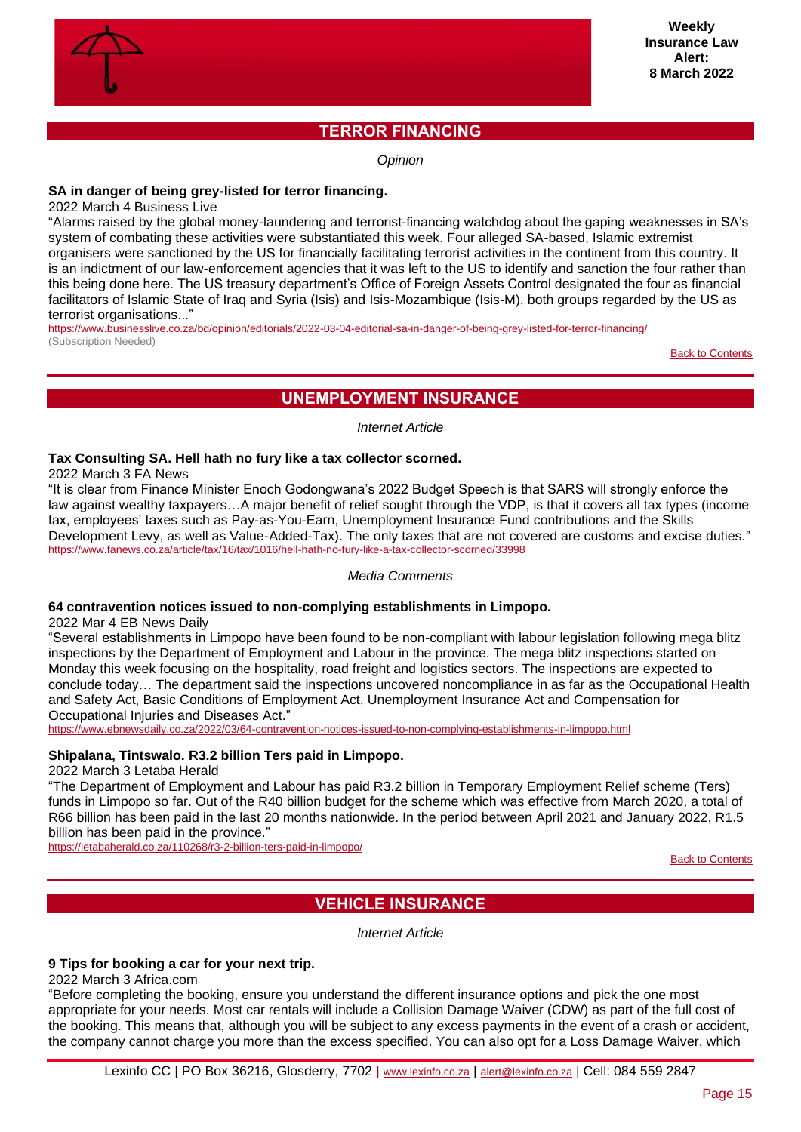

# **TERROR FINANCING**

*Opinion* 

# <span id="page-14-0"></span>**SA in danger of being grey-listed for terror financing.**

2022 March 4 Business Live

"Alarms raised by the global money-laundering and terrorist-financing watchdog about the gaping weaknesses in SA's system of combating these activities were substantiated this week. Four alleged SA-based, Islamic extremist organisers were sanctioned by the US for financially facilitating terrorist activities in the continent from this country. It is an indictment of our law-enforcement agencies that it was left to the US to identify and sanction the four rather than this being done here. The US treasury department's Office of Foreign Assets Control designated the four as financial facilitators of Islamic State of Iraq and Syria (Isis) and Isis-Mozambique (Isis-M), both groups regarded by the US as terrorist organisations..."

<https://www.businesslive.co.za/bd/opinion/editorials/2022-03-04-editorial-sa-in-danger-of-being-grey-listed-for-terror-financing/> (Subscription Needed)

[Back to Contents](#page-0-0)

# **UNEMPLOYMENT INSURANCE**

*Internet Article*

# <span id="page-14-1"></span>**Tax Consulting SA. Hell hath no fury like a tax collector scorned.**

2022 March 3 FA News

"It is clear from Finance Minister Enoch Godongwana's 2022 Budget Speech is that SARS will strongly enforce the law against wealthy taxpayers…A major benefit of relief sought through the VDP, is that it covers all tax types (income tax, employees' taxes such as Pay-as-You-Earn, Unemployment Insurance Fund contributions and the Skills Development Levy, as well as Value-Added-Tax). The only taxes that are not covered are customs and excise duties." <https://www.fanews.co.za/article/tax/16/tax/1016/hell-hath-no-fury-like-a-tax-collector-scorned/33998>

# *Media Comments*

# **64 contravention notices issued to non-complying establishments in Limpopo.**

2022 Mar 4 EB News Daily

"Several establishments in Limpopo have been found to be non-compliant with labour legislation following mega blitz inspections by the Department of Employment and Labour in the province. The mega blitz inspections started on Monday this week focusing on the hospitality, road freight and logistics sectors. The inspections are expected to conclude today… The department said the inspections uncovered noncompliance in as far as the Occupational Health and Safety Act, Basic Conditions of Employment Act, Unemployment Insurance Act and Compensation for Occupational Injuries and Diseases Act."

<https://www.ebnewsdaily.co.za/2022/03/64-contravention-notices-issued-to-non-complying-establishments-in-limpopo.html>

# **Shipalana, Tintswalo. R3.2 billion Ters paid in Limpopo.**

2022 March 3 Letaba Herald

"The Department of Employment and Labour has paid R3.2 billion in Temporary Employment Relief scheme (Ters) funds in Limpopo so far. Out of the R40 billion budget for the scheme which was effective from March 2020, a total of R66 billion has been paid in the last 20 months nationwide. In the period between April 2021 and January 2022, R1.5 billion has been paid in the province."

<span id="page-14-2"></span><https://letabaherald.co.za/110268/r3-2-billion-ters-paid-in-limpopo/>

**[Back to Contents](#page-0-0)** 

# **VEHICLE INSURANCE**

*Internet Article*

#### **9 Tips for booking a car for your next trip.**

2022 March 3 Africa.com

"Before completing the booking, ensure you understand the different insurance options and pick the one most appropriate for your needs. Most car rentals will include a Collision Damage Waiver (CDW) as part of the full cost of the booking. This means that, although you will be subject to any excess payments in the event of a crash or accident, the company cannot charge you more than the excess specified. You can also opt for a Loss Damage Waiver, which